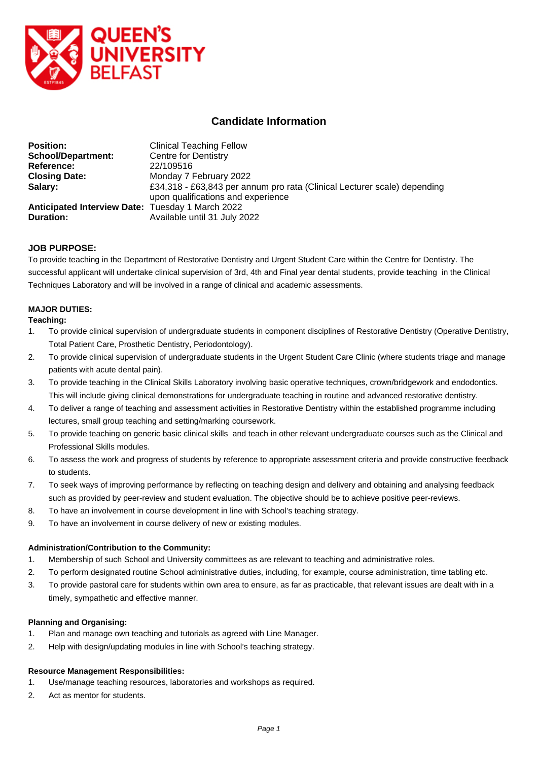

# **Candidate Information**

| <b>Position:</b>                                        | <b>Clinical Teaching Fellow</b>                                                                                |
|---------------------------------------------------------|----------------------------------------------------------------------------------------------------------------|
| <b>School/Department:</b>                               | <b>Centre for Dentistry</b>                                                                                    |
| Reference:                                              | 22/109516                                                                                                      |
| <b>Closing Date:</b>                                    | Monday 7 February 2022                                                                                         |
| Salary:                                                 | £34,318 - £63,843 per annum pro rata (Clinical Lecturer scale) depending<br>upon qualifications and experience |
| <b>Anticipated Interview Date: Tuesday 1 March 2022</b> |                                                                                                                |
| <b>Duration:</b>                                        | Available until 31 July 2022                                                                                   |

## **JOB PURPOSE:**

To provide teaching in the Department of Restorative Dentistry and Urgent Student Care within the Centre for Dentistry. The successful applicant will undertake clinical supervision of 3rd, 4th and Final year dental students, provide teaching in the Clinical Techniques Laboratory and will be involved in a range of clinical and academic assessments.

#### **MAJOR DUTIES:**

#### **Teaching:**

- 1. To provide clinical supervision of undergraduate students in component disciplines of Restorative Dentistry (Operative Dentistry, Total Patient Care, Prosthetic Dentistry, Periodontology).
- 2. To provide clinical supervision of undergraduate students in the Urgent Student Care Clinic (where students triage and manage patients with acute dental pain).
- 3. To provide teaching in the Clinical Skills Laboratory involving basic operative techniques, crown/bridgework and endodontics. This will include giving clinical demonstrations for undergraduate teaching in routine and advanced restorative dentistry.
- 4. To deliver a range of teaching and assessment activities in Restorative Dentistry within the established programme including lectures, small group teaching and setting/marking coursework.
- 5. To provide teaching on generic basic clinical skills and teach in other relevant undergraduate courses such as the Clinical and Professional Skills modules.
- 6. To assess the work and progress of students by reference to appropriate assessment criteria and provide constructive feedback to students.
- 7. To seek ways of improving performance by reflecting on teaching design and delivery and obtaining and analysing feedback such as provided by peer-review and student evaluation. The objective should be to achieve positive peer-reviews.
- 8. To have an involvement in course development in line with School's teaching strategy.
- 9. To have an involvement in course delivery of new or existing modules.

#### **Administration/Contribution to the Community:**

- 1. Membership of such School and University committees as are relevant to teaching and administrative roles.
- 2. To perform designated routine School administrative duties, including, for example, course administration, time tabling etc.
- 3. To provide pastoral care for students within own area to ensure, as far as practicable, that relevant issues are dealt with in a timely, sympathetic and effective manner.

#### **Planning and Organising:**

- 1. Plan and manage own teaching and tutorials as agreed with Line Manager.
- 2. Help with design/updating modules in line with School's teaching strategy.

#### **Resource Management Responsibilities:**

- 1. Use/manage teaching resources, laboratories and workshops as required.
- 2. Act as mentor for students.